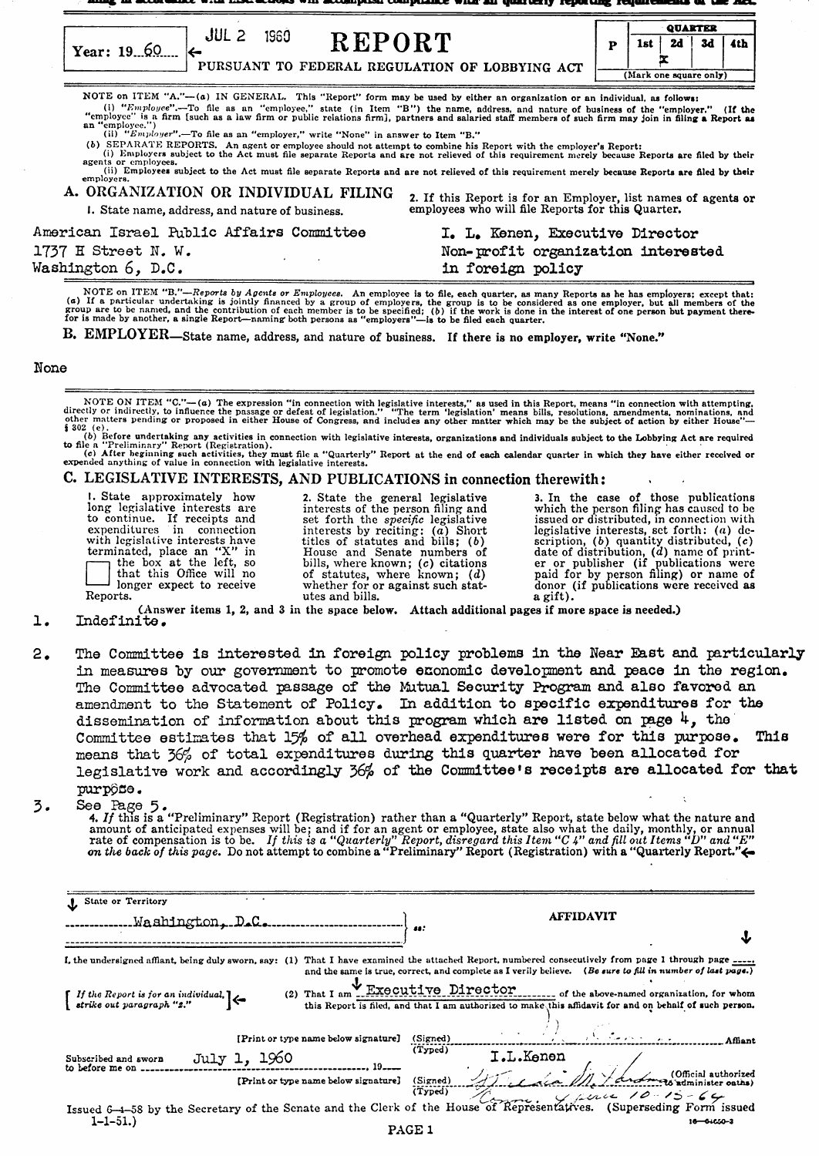| JUL                                                                             |  | <b>QUARTER</b>         |    |      |  |  |
|---------------------------------------------------------------------------------|--|------------------------|----|------|--|--|
| 1960<br>REPORT<br>Year: 19.60<br>PURSUANT TO FEDERAL REGULATION OF LOBBYING ACT |  | 1st                    | 2d | - 3d |  |  |
|                                                                                 |  | (Mark one square only) |    |      |  |  |

NOTE on ITEM "A,"--(a) IN GENERAL. This "Report" form may be used by either an organization or an individual, as follows: (i) "Employce".—To file as an "employee," state (in Item "B") the name, address, and nature of business of the "employer." (If the "employer." (If the "employer" (If the "employer" (If the "employee") (If the "employee") employee. *I*<br>(ii) "Employer".—To file as an "employer," write "None" in answer to Item "B."

(b) SEPARATE REPORTS. An agent or employee should not attempt to combine his Report with the employer's Report:<br>(i) Employers subject to the Act must file separate Reports and are not relieved of this requirement merely be

| A. ORGANIZATION OR INDIVIDUAL FILING<br>I. State name, address, and nature of business. | 2. If this Report is for an Employer, list names of agents or employees who will file Reports for this Quarter. |  |  |  |
|-----------------------------------------------------------------------------------------|-----------------------------------------------------------------------------------------------------------------|--|--|--|
| American Israel Public Affairs Committee                                                | I. L. Kenen, Executive Director                                                                                 |  |  |  |
| 1737 H Street N.W.                                                                      | Non-profit organization interested                                                                              |  |  |  |
| Washington 6, D.C.                                                                      | in foreign policy                                                                                               |  |  |  |

NOTE on ITEM *"B,"-Reports by Agents or Employees.* An employee is to file, each quarter, as many Reports as he has employers; except that: An employers. An employers is to me, each quarter, as many keports as he has employers; except that:<br>(a) If a particular undertaking is jointly financed by a group of employers, the group is to be considered as one employe

B. EMPLOYER-State name, address, and nature of business. If there is no employer, write "None."

#### None

NOTE ON ITEM "C."—(a) The expression "in connection with legislative interests," as used in this Report, means "in connection with attempting,<br>directly or indirectly, to influence the passage or defeat of legislation." "T

to file a "Preliminary" Report (Registration).<br>
(c) After beginning such activities, they must file a "Quarterly" Report at the end of each calendar quarter in which they have either received or expended anything of value

#### C. LEGISLATIVE INTERESTS, AND PUBLICATIONS in connection therewith:

1. State approximately how 2. State the general legislative 3. In the case of those publications long legislative interests are interests of the person filing and to continue. If receipts and set forth the *specific* legi to continue issued or distributed, in connection with<br>interests by reciting: (a) Short<br>ticles of statutes and bills; (b) scription, (b) quantity distributed, i.e.<br>House and Senate numbers of date of distribution, (d) name expenditures in connection interests by reciting: (a) Short legislative interests, set forth: (a) de-<br>with legislative interests have titles of statutes and bills; (b) scription, (b) quantity distributed, (c)<br>terminated,

1. (Answer items 1, 2, and <sup>3</sup> in the space below. Attach additional pages if more space is needed.) Indefinite.

 $2.$ The Committee is interested in foreign policy problems in the Near East and particularly in measures by our government to promote economic developnent and peace in the region. The Committee advocated passage of the Mutual Security Program and also favored an amendment to the Statement of Policy. In addition to specific expenditures for the dissemination of information about this program which are listed on page  $4$ , the Committee estimates that 15% of all overhead expenditures were for this purpose. This means that 36% of total expenditures during this quarter have been allocated for legislative work and accordingly 36% of the Committee's receipts are allocated for that purpône.

3.

See Page 5.<br>**4.** *If* this is a "Preliminary" Report (Registration) rather than a "Quarterly" Report, state below what the nature and amount of anticipated expenses will be; and if for an agent or employee, state also what the daily, monthly, or annual rate of compensation is to be. If this is a "Quarterly" Report, disregard this Item "C 4" and fill out

| <b>J</b> State or Territory                                                                                             |                                                                                                                                                                                                                                                                        |
|-------------------------------------------------------------------------------------------------------------------------|------------------------------------------------------------------------------------------------------------------------------------------------------------------------------------------------------------------------------------------------------------------------|
| .Washington, D.C.                                                                                                       | <b>AFFIDAVIT</b><br>48:                                                                                                                                                                                                                                                |
|                                                                                                                         |                                                                                                                                                                                                                                                                        |
|                                                                                                                         | I, the undersigned affiant, being duly sworn, say: (1) That I have examined the attached Report, numbered consecutively from page 1 through page _______<br>and the same is true, correct, and complete as I verily believe. (Be sure to fill in number of last page.) |
| $\begin{bmatrix} If the Report is for an individual, \\ \text{strike out paragraph} & \text{} \end{bmatrix} \leftarrow$ | (2) That I am Executive Director of the above-named organization, for whom<br>this Report is filed, and that I am authorized to make this affidavit for and on behalf of such person.                                                                                  |
| [Print or type name below signature]                                                                                    | (Signed)                                                                                                                                                                                                                                                               |
| July 1, 1960<br>Subscribed and sworn                                                                                    | (Typed)<br><b>I.L.</b> Kenen                                                                                                                                                                                                                                           |
|                                                                                                                         |                                                                                                                                                                                                                                                                        |
| $1 - 1 - 51.$                                                                                                           | $16 - 64050 - 3$<br>ו המנס                                                                                                                                                                                                                                             |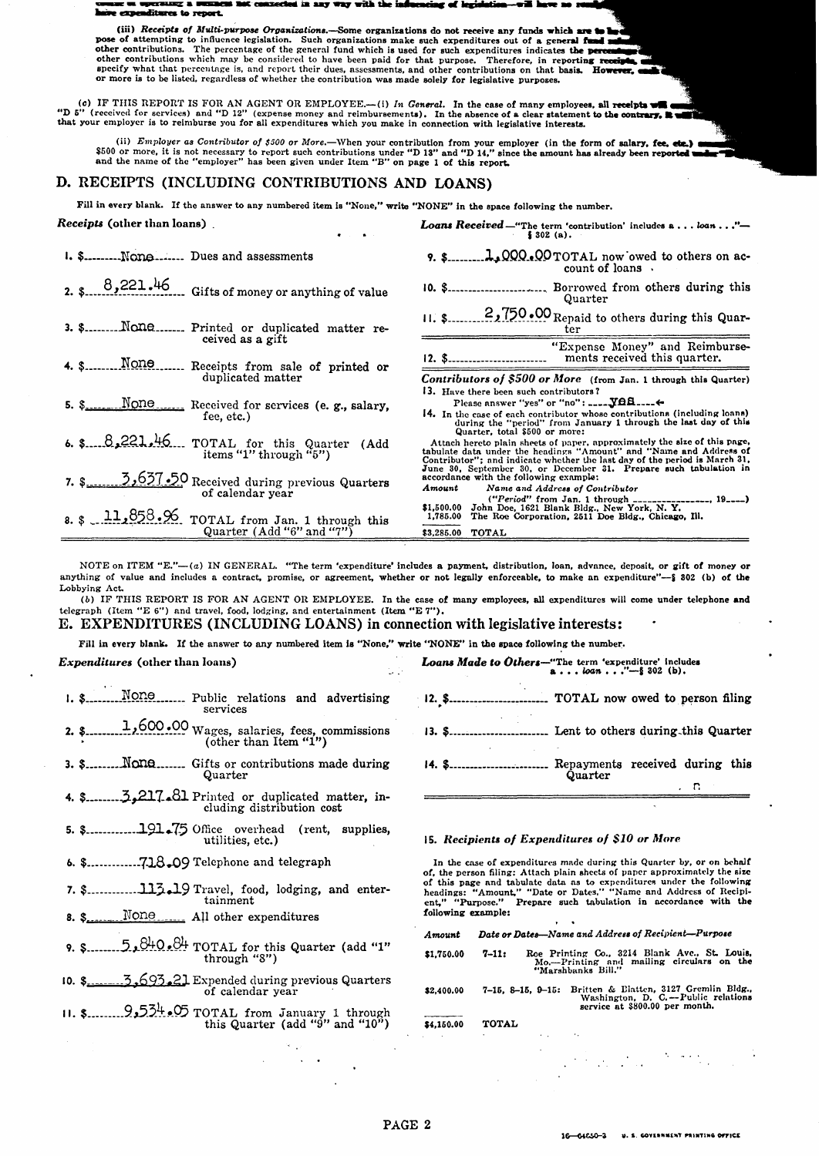### miliures to report

(iii) Receipts of Multi-purpose Organizations. -Some organizations do not receive any funds which are t one of attempting to influence legislation. Such crystations make such a contributions which are the preceding to influence legislation. Such crystations make such a set of a set of a set of a set of a set of a set of a se or more is to be listed, regardless of whether the contribution was made solely for legislative purposes.

(c) IF THIS REPORT IS FOR AN AGENT OR EMPLOYEE.—(i) In General. In the case of many employees, all receipts will exercicle in the statement of the contrary. It as "D 5" (received for services) and "D 12" (expense money an

(ii) *Employer as Contributor of \$500 or More*.—When your contribution from your employer (in the form of salary, fee, etc.) and \$500 or more, it is not necessary to report such contributions under "D 13" and "D 14," sinc

#### D. RECEIPTS (INCLUDING CONTRIBUTIONS AND LOANS)

Fill in every blank. If the answer to any numbered item is "None," write "NONE" in the space following the number.

Receipts (other than loans). Loans Received -"The term 'contribution' includes a . . . loan . . ."- $$302$  (a). I. \$.......... None....... Dues and assessments count of loans. 8,221.46 Gifts of money or anything of value 10. \$............................... Borrowed from others during this Quarter 2,750.00 Repaid to others during this Quar- $11.3$ 3. \$......... None....... Printed or duplicated matter re-<u>ter</u> ceived as a gift "Expense Money" and Reimbursements received this quarter.  $12. S$ . 4. S......... None....... Receipts from sale of printed or duplicated matter Contributors of \$500 or More (from Jan. 1 through this Quarter) 13. Have there been such contributors? Please answer "yes" or "no": ...... YOA....... 14. In the case of each contributor whose contributions (including loans)<br>during the "period" from January 1 through the last day of this<br>Quarter, total \$500 or more: fee, etc.) 6.  $\frac{8.8221.46}{100}$  TOTAL for this Quarter (Add items "1" through "5") Summer, was our more. The heading of this page.<br>Attach hereto plain sheets of paper, approximately the size of this page,<br>tabulate data under the headings "Amount" and "Name and Address of<br>Contributor"; and indicate whiche 5.637.50 Received during previous Quarters Amount Name and Address of Contributor of calendar year -----, 19-----)  $$1,500.00$ <br> $1,785.00$ \$3,285.00 **TOTAL** 

NOTE on ITEM "E."-(a) IN GENERAL. "The term 'expenditure' includes a payment, distribution, loan, advance, deposit, or gift of money or anything of value and includes a contract, promise, or agreement, whether or not legally enforceable, to make an expenditure"-\$ 802 (b) of the Lobbying Act.

(b) IF THIS REPORT IS FOR AN AGENT OR EMPLOYEE. In the case of many employees, all expenditures will come under telephone and telegraph (Item "E 6") and travel, food, lodging, and entertainment (Item "E 7"). E. EXPENDITURES (INCLUDING LOANS) in connection with legislative interests:

Fill in every blank. If the answer to any numbered item is "None," write "NONE" in the space following the number.

#### Expenditures (other than loans)

- 1. S. None Mone Public relations and advertising services
- 
- Quarter
- cluding distribution cost
- 5. \$.............191.75 Office overhead (rent, supplies, utilities, etc.)
- 
- 7. \$.................113.19 Travel, food, lodging, and entertainment
- $8. \, \text{S}$ None ..... All other expenditures
- 9. \$... $5.5$ ,  $8\frac{0+0.81}{1}$  TOTAL for this Quarter (add "1"<br>through "3")
- 5,693.21 Expended during previous Quarters<br>of calendar year  $10.$  \$
- 

## Loans Made to Others-"The term 'expenditure' includes<br> $a \ldots \text{log} n \ldots \text{log} n$ ... TOTAL now owed to person filing 14. \$............................ Repayments received during this Quarter n

#### 15. Recipients of Expenditures of \$10 or More

In the case of expenditures made during this Quarter by, or on behalf of, the person filing: Attach plain sheets of paper approximately the size of this page and tabulate data as to expenditures under the following<br>headings: "Amount," "Date or Dates," "Name and Address of Recipi-<br>ent," "Purpose." Prepare such tabulation in accordance with the following example:

| Amount                                                                                                                                        | Date or Dates-Name and Address of Recipient-Purpose                                                                                          |  |  |  |  |
|-----------------------------------------------------------------------------------------------------------------------------------------------|----------------------------------------------------------------------------------------------------------------------------------------------|--|--|--|--|
| Roe Printing Co., 3214 Blank Ave., St. Louis.<br>$7 - 11:$<br>\$1,750.00<br>Mo.---Printing and mailing circulars on the<br>"Marshbanks Bill." |                                                                                                                                              |  |  |  |  |
| \$2,400.00                                                                                                                                    | Britten & Elatten, 3127 Gremlin Bldg.,<br>$7-15$ , $8-15$ , $9-15$ :<br>Washington, D. C.-Public relations<br>service at \$800.00 per month. |  |  |  |  |
| \$4,150.00                                                                                                                                    | <b>TOTAL</b>                                                                                                                                 |  |  |  |  |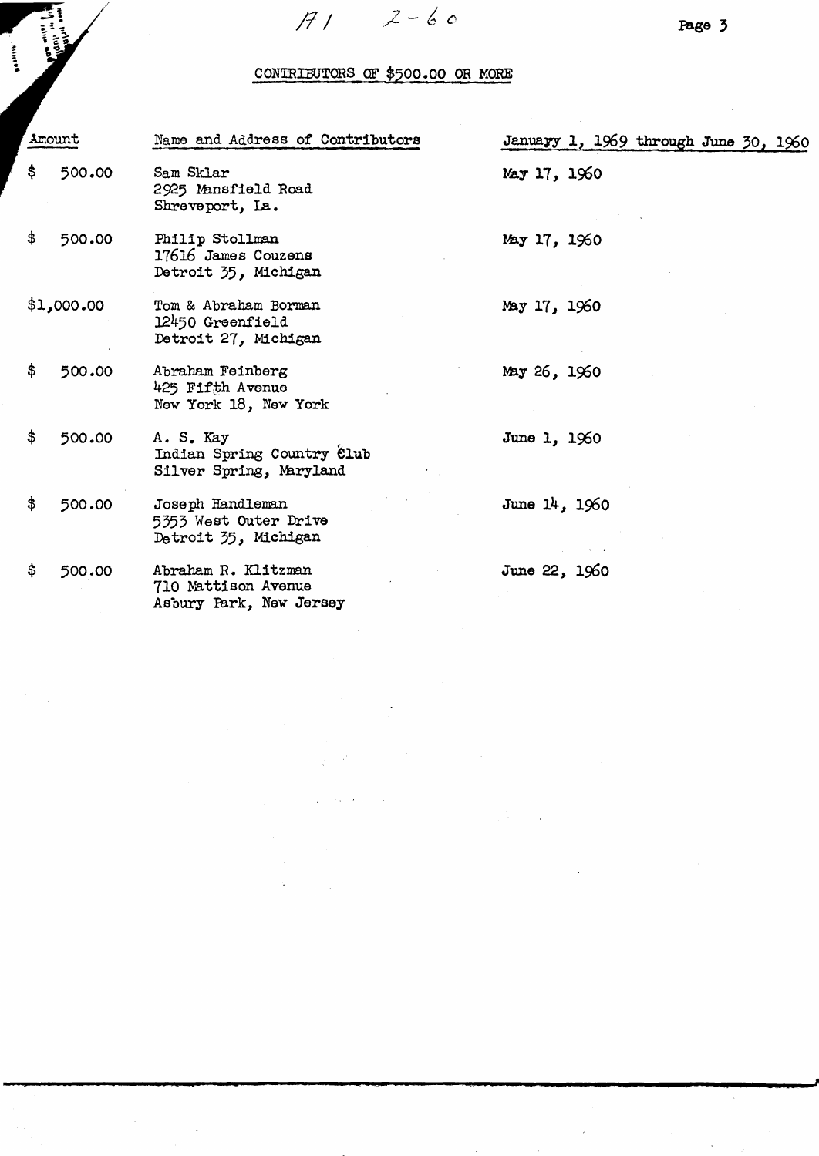$2-60$  $H1$ 

**Head Street** 

**External** 

## CONTRIBUTORS OF \$500.00 OR MORE

| Amount       | Name and Address of Contributors                                      |               | January 1, 1969 through June 30, 1960 |  |  |
|--------------|-----------------------------------------------------------------------|---------------|---------------------------------------|--|--|
| \$<br>500.00 | Sam Sklar<br>2925 Mansfield Road<br>Shreveport, La.                   | May 17, 1960  |                                       |  |  |
| \$<br>500.00 | Philip Stollman<br>17616 James Couzens<br>Detroit 35, Michigan        | May 17, 1960  |                                       |  |  |
| \$1,000.00   | Tom & Abraham Borman<br>12450 Greenfield<br>Detroit 27, Michigan      | May 17, 1960  |                                       |  |  |
| \$<br>500.00 | Abraham Feinberg<br>425 Fifth Avenue<br>New York 18, New York         | May 26, 1960  |                                       |  |  |
| \$<br>500.00 | A. S. Kay<br>Indian Spring Country Club<br>Silver Spring, Maryland    | June 1, 1960  |                                       |  |  |
| \$<br>500.00 | Joseph Handleman<br>5353 West Outer Drive<br>Detroit 35, Michigan     | June 14, 1960 |                                       |  |  |
| \$<br>500.00 | Abraham R. Klitzman<br>710 Mattison Avenue<br>Asbury Park, New Jersey | June 22, 1960 |                                       |  |  |

 $\ddot{\phantom{a}}$ 

 $\bar{\beta}$ 

 $\mathcal{O}(\mathcal{O}_\mathcal{O})$  . The set of  $\mathcal{O}_\mathcal{O}$ 

 $\hat{\mathcal{L}}$ 

 $\hat{\boldsymbol{\beta}}$ 

Page 3

 $\bar{z}$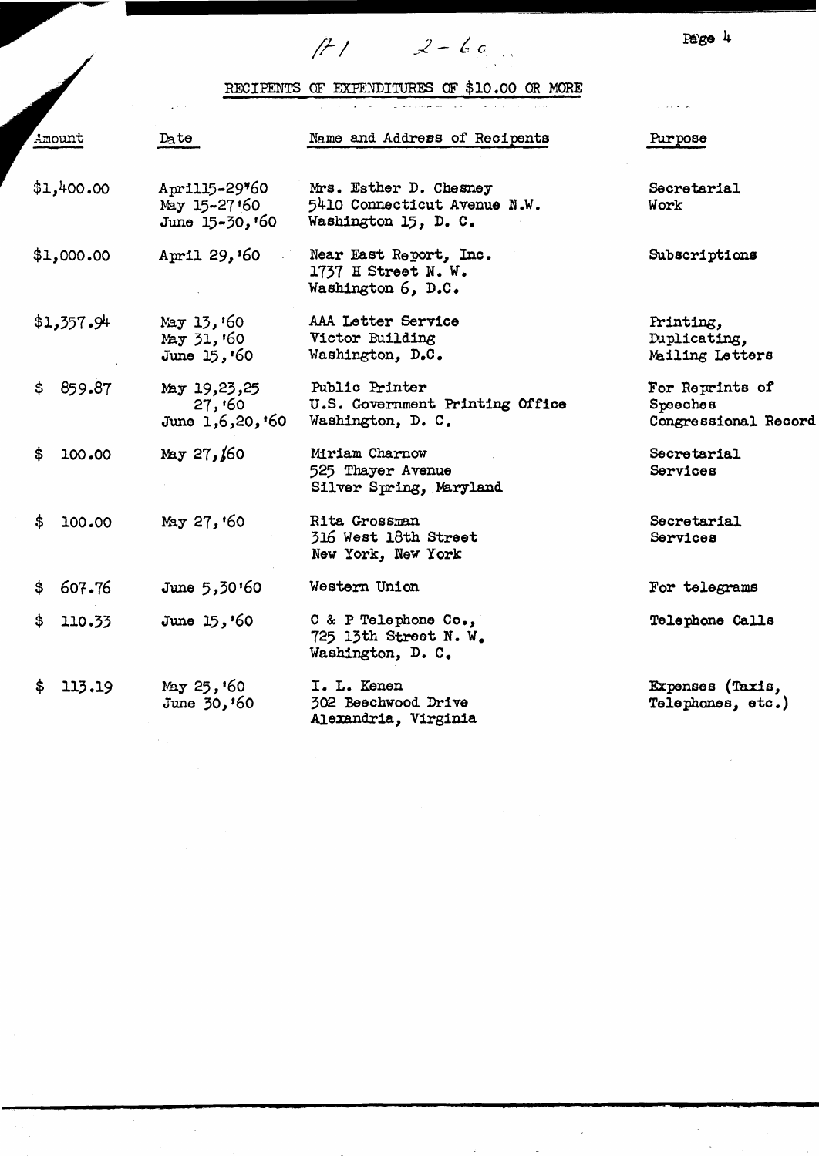$P\hat{e}$ ge 4

# RECIPENTS OF EXPENDITURES OF \$10.00 OR MORE

 $f12 - 2 - 60$ 

|                                                                | Date<br>Amount |                                           | Name and Address of Recipents                                                  | Purpose                                             |  |  |
|----------------------------------------------------------------|----------------|-------------------------------------------|--------------------------------------------------------------------------------|-----------------------------------------------------|--|--|
| \$1,400.00<br>Aprill5-29*60<br>May 15-27'60<br>June 15-30, '60 |                |                                           | Mrs. Esther D. Chesney<br>5410 Connecticut Avenue N.W.<br>Washington 15, D. C. | Secretarial<br>Work                                 |  |  |
|                                                                | \$1,000.00     | April 29, '60                             | Near East Report, Inc.<br>1737 H Street N. W.<br>Washington 6, D.C.            | Subscriptions                                       |  |  |
|                                                                | \$1,357.94     | May 13, 60<br>May 31, '60<br>June 15, '60 | AAA Letter Service<br>Victor Building<br>Washington, D.C.                      | Printing,<br>Duplicating,<br>Mailing Letters        |  |  |
| \$.                                                            | 859.87         | May 19,23,25<br>27,00<br>June 1,6,20,'60  | Public Printer<br>U.S. Government Printing Office<br>Washington, D. C.         | For Reprints of<br>Speeches<br>Congressional Record |  |  |
| \$                                                             | 100.00         | May 27,160                                | Miriam Charnow<br>525 Thayer Avenue<br>Silver Spring, Maryland                 | Secretarial<br>Services                             |  |  |
| \$                                                             | 100.00         | May 27, '60                               | Rita Grossman<br>316 West 18th Street<br>New York, New York                    | Secretarial<br>Services                             |  |  |
| \$                                                             | 607.76         | June 5,30'60                              | Western Union                                                                  | For telegrams                                       |  |  |
| \$                                                             | 110.33         | June $15, '60$                            | C & P Telephone Co.,<br>725 13th Street N.W.<br>Washington, D. C.              | Telephone Calls                                     |  |  |
| S.                                                             | 113.19         | May $25, 60$<br>June $30, 60$             | I. L. Kenen<br>302 Beechwood Drive<br>Alexandria, Virginia                     | Expenses (Taxis,<br>Telephones, etc.)               |  |  |
|                                                                |                |                                           |                                                                                |                                                     |  |  |

 $\overline{\phantom{a}}$ 

 $\bar{\gamma}$ 

 $\bar{\bar{\bar{z}}}$